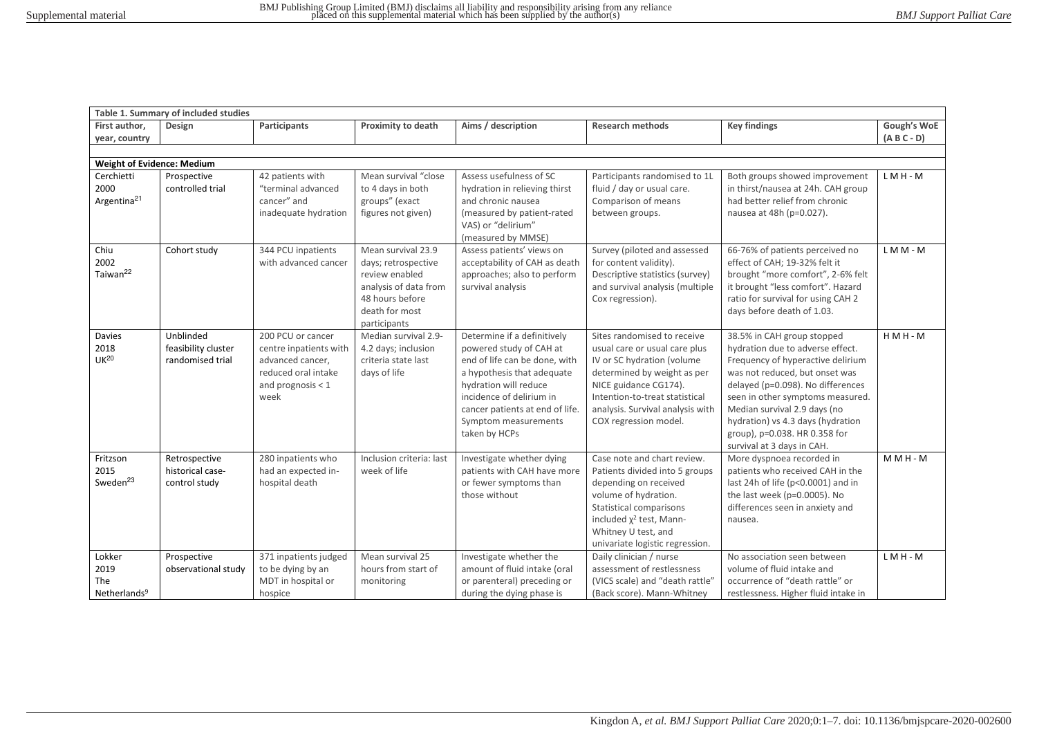|                                                   | Table 1. Summary of included studies                 |                                                                                                                       |                                                                                                                                           |                                                                                                                                                                                                                                                        |                                                                                                                                                                                                                                                   |                                                                                                                                                                                                                                                                                                                                                    |                              |
|---------------------------------------------------|------------------------------------------------------|-----------------------------------------------------------------------------------------------------------------------|-------------------------------------------------------------------------------------------------------------------------------------------|--------------------------------------------------------------------------------------------------------------------------------------------------------------------------------------------------------------------------------------------------------|---------------------------------------------------------------------------------------------------------------------------------------------------------------------------------------------------------------------------------------------------|----------------------------------------------------------------------------------------------------------------------------------------------------------------------------------------------------------------------------------------------------------------------------------------------------------------------------------------------------|------------------------------|
| First author,<br>year, country                    | Design                                               | <b>Participants</b>                                                                                                   | <b>Proximity to death</b>                                                                                                                 | Aims / description                                                                                                                                                                                                                                     | <b>Research methods</b>                                                                                                                                                                                                                           | <b>Key findings</b>                                                                                                                                                                                                                                                                                                                                | Gough's WoE<br>$(A B C - D)$ |
|                                                   |                                                      |                                                                                                                       |                                                                                                                                           |                                                                                                                                                                                                                                                        |                                                                                                                                                                                                                                                   |                                                                                                                                                                                                                                                                                                                                                    |                              |
| <b>Weight of Evidence: Medium</b>                 |                                                      |                                                                                                                       |                                                                                                                                           |                                                                                                                                                                                                                                                        |                                                                                                                                                                                                                                                   |                                                                                                                                                                                                                                                                                                                                                    |                              |
| Cerchietti<br>2000<br>Argentina <sup>21</sup>     | Prospective<br>controlled trial                      | 42 patients with<br>"terminal advanced<br>cancer" and<br>inadequate hydration                                         | Mean survival "close<br>to 4 days in both<br>groups" (exact<br>figures not given)                                                         | Assess usefulness of SC<br>hydration in relieving thirst<br>and chronic nausea<br>(measured by patient-rated<br>VAS) or "delirium"<br>(measured by MMSE)                                                                                               | Participants randomised to 1L<br>fluid / day or usual care.<br>Comparison of means<br>between groups.                                                                                                                                             | Both groups showed improvement<br>in thirst/nausea at 24h. CAH group<br>had better relief from chronic<br>nausea at 48h (p=0.027).                                                                                                                                                                                                                 | $LMH - M$                    |
| Chiu<br>2002<br>Taiwan <sup>22</sup>              | Cohort study                                         | 344 PCU inpatients<br>with advanced cancer                                                                            | Mean survival 23.9<br>days; retrospective<br>review enabled<br>analysis of data from<br>48 hours before<br>death for most<br>participants | Assess patients' views on<br>acceptability of CAH as death<br>approaches; also to perform<br>survival analysis                                                                                                                                         | Survey (piloted and assessed<br>for content validity).<br>Descriptive statistics (survey)<br>and survival analysis (multiple<br>Cox regression).                                                                                                  | 66-76% of patients perceived no<br>effect of CAH; 19-32% felt it<br>brought "more comfort", 2-6% felt<br>it brought "less comfort". Hazard<br>ratio for survival for using CAH 2<br>days before death of 1.03.                                                                                                                                     | LMM-M                        |
| Davies<br>2018<br>UK <sup>20</sup>                | Unblinded<br>feasibility cluster<br>randomised trial | 200 PCU or cancer<br>centre inpatients with<br>advanced cancer,<br>reduced oral intake<br>and prognosis $<$ 1<br>week | Median survival 2.9-<br>4.2 days; inclusion<br>criteria state last<br>days of life                                                        | Determine if a definitively<br>powered study of CAH at<br>end of life can be done, with<br>a hypothesis that adequate<br>hydration will reduce<br>incidence of delirium in<br>cancer patients at end of life.<br>Symptom measurements<br>taken by HCPs | Sites randomised to receive<br>usual care or usual care plus<br>IV or SC hydration (volume<br>determined by weight as per<br>NICE guidance CG174).<br>Intention-to-treat statistical<br>analysis. Survival analysis with<br>COX regression model. | 38.5% in CAH group stopped<br>hydration due to adverse effect.<br>Frequency of hyperactive delirium<br>was not reduced, but onset was<br>delayed (p=0.098). No differences<br>seen in other symptoms measured.<br>Median survival 2.9 days (no<br>hydration) vs 4.3 days (hydration<br>group), p=0.038. HR 0.358 for<br>survival at 3 days in CAH. | $HMH - M$                    |
| Fritzson<br>2015<br>Sweden <sup>23</sup>          | Retrospective<br>historical case-<br>control study   | 280 inpatients who<br>had an expected in-<br>hospital death                                                           | Inclusion criteria: last<br>week of life                                                                                                  | Investigate whether dying<br>patients with CAH have more<br>or fewer symptoms than<br>those without                                                                                                                                                    | Case note and chart review.<br>Patients divided into 5 groups<br>depending on received<br>volume of hydration.<br>Statistical comparisons<br>included $\chi^2$ test, Mann-<br>Whitney U test, and<br>univariate logistic regression.              | More dyspnoea recorded in<br>patients who received CAH in the<br>last 24h of life (p<0.0001) and in<br>the last week (p=0.0005). No<br>differences seen in anxiety and<br>nausea.                                                                                                                                                                  | $M$ M H - M                  |
| Lokker<br>2019<br>The<br>Netherlands <sup>9</sup> | Prospective<br>observational study                   | 371 inpatients judged<br>to be dying by an<br>MDT in hospital or<br>hospice                                           | Mean survival 25<br>hours from start of<br>monitoring                                                                                     | Investigate whether the<br>amount of fluid intake (oral<br>or parenteral) preceding or<br>during the dying phase is                                                                                                                                    | Daily clinician / nurse<br>assessment of restlessness<br>(VICS scale) and "death rattle"<br>(Back score). Mann-Whitney                                                                                                                            | No association seen between<br>volume of fluid intake and<br>occurrence of "death rattle" or<br>restlessness. Higher fluid intake in                                                                                                                                                                                                               | $LMH - M$                    |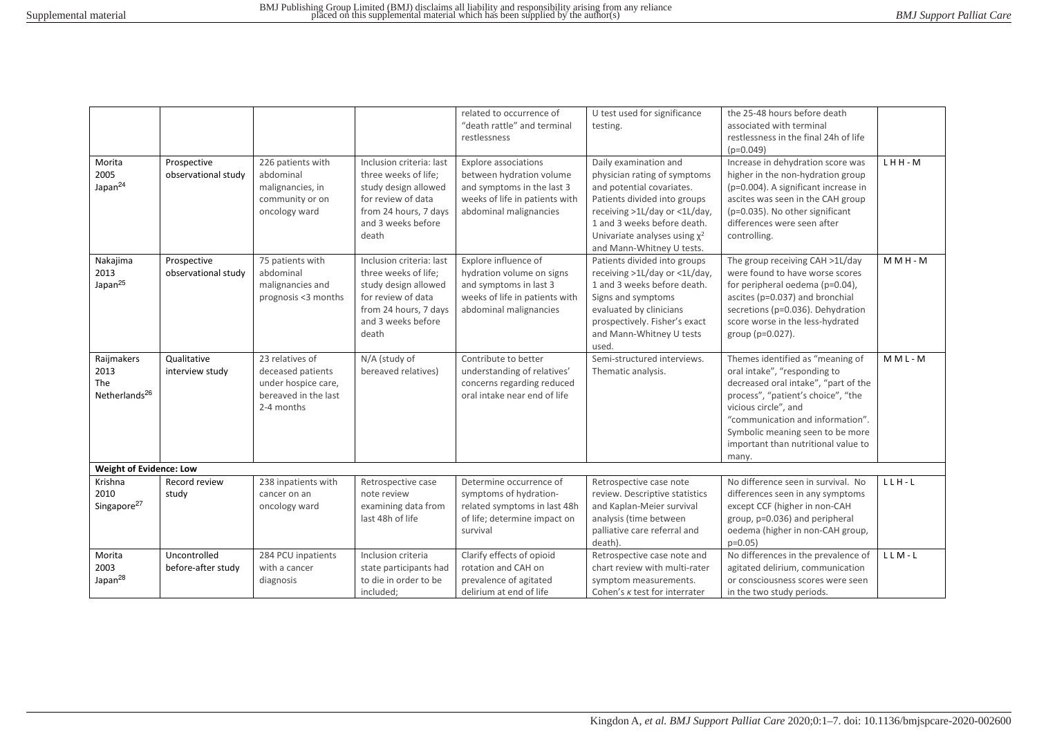| Morita<br>2005<br>Japan <sup>24</sup>                  | Prospective<br>observational study | 226 patients with<br>abdominal<br>malignancies, in<br>community or on<br>oncology ward            | Inclusion criteria: last<br>three weeks of life;<br>study design allowed<br>for review of data<br>from 24 hours, 7 days<br>and 3 weeks before                   | related to occurrence of<br>"death rattle" and terminal<br>restlessness<br><b>Explore associations</b><br>between hydration volume<br>and symptoms in the last 3<br>weeks of life in patients with<br>abdominal malignancies | U test used for significance<br>testing.<br>Daily examination and<br>physician rating of symptoms<br>and potential covariates.<br>Patients divided into groups<br>receiving >1L/day or <1L/day,<br>1 and 3 weeks before death.                                                         | the 25-48 hours before death<br>associated with terminal<br>restlessness in the final 24h of life<br>$(p=0.049)$<br>Increase in dehydration score was<br>higher in the non-hydration group<br>(p=0.004). A significant increase in<br>ascites was seen in the CAH group<br>(p=0.035). No other significant<br>differences were seen after | LHH-M       |  |
|--------------------------------------------------------|------------------------------------|---------------------------------------------------------------------------------------------------|-----------------------------------------------------------------------------------------------------------------------------------------------------------------|------------------------------------------------------------------------------------------------------------------------------------------------------------------------------------------------------------------------------|----------------------------------------------------------------------------------------------------------------------------------------------------------------------------------------------------------------------------------------------------------------------------------------|-------------------------------------------------------------------------------------------------------------------------------------------------------------------------------------------------------------------------------------------------------------------------------------------------------------------------------------------|-------------|--|
| Nakajima<br>2013<br>Japan <sup>25</sup>                | Prospective<br>observational study | 75 patients with<br>abdominal<br>malignancies and<br>prognosis <3 months                          | death<br>Inclusion criteria: last<br>three weeks of life;<br>study design allowed<br>for review of data<br>from 24 hours, 7 days<br>and 3 weeks before<br>death | Explore influence of<br>hydration volume on signs<br>and symptoms in last 3<br>weeks of life in patients with<br>abdominal malignancies                                                                                      | Univariate analyses using $\chi^2$<br>and Mann-Whitney U tests.<br>Patients divided into groups<br>receiving >1L/day or <1L/day,<br>1 and 3 weeks before death.<br>Signs and symptoms<br>evaluated by clinicians<br>prospectively. Fisher's exact<br>and Mann-Whitney U tests<br>used. | controlling.<br>The group receiving CAH >1L/day<br>were found to have worse scores<br>for peripheral oedema (p=0.04),<br>ascites (p=0.037) and bronchial<br>secretions (p=0.036). Dehydration<br>score worse in the less-hydrated<br>group (p=0.027).                                                                                     | $M$ M H - M |  |
| Raijmakers<br>2013<br>The<br>Netherlands <sup>26</sup> | Qualitative<br>interview study     | 23 relatives of<br>deceased patients<br>under hospice care,<br>bereaved in the last<br>2-4 months | N/A (study of<br>bereaved relatives)                                                                                                                            | Contribute to better<br>understanding of relatives'<br>concerns regarding reduced<br>oral intake near end of life                                                                                                            | Semi-structured interviews.<br>Thematic analysis.                                                                                                                                                                                                                                      | Themes identified as "meaning of<br>oral intake", "responding to<br>decreased oral intake", "part of the<br>process", "patient's choice", "the<br>vicious circle", and<br>"communication and information".<br>Symbolic meaning seen to be more<br>important than nutritional value to<br>many.                                            | $MML-M$     |  |
| <b>Weight of Evidence: Low</b>                         |                                    |                                                                                                   |                                                                                                                                                                 |                                                                                                                                                                                                                              |                                                                                                                                                                                                                                                                                        |                                                                                                                                                                                                                                                                                                                                           |             |  |
| Krishna<br>2010<br>Singapore <sup>27</sup>             | Record review<br>study             | 238 inpatients with<br>cancer on an<br>oncology ward                                              | Retrospective case<br>note review<br>examining data from<br>last 48h of life                                                                                    | Determine occurrence of<br>symptoms of hydration-<br>related symptoms in last 48h<br>of life; determine impact on<br>survival                                                                                                | Retrospective case note<br>review. Descriptive statistics<br>and Kaplan-Meier survival<br>analysis (time between<br>palliative care referral and<br>death).                                                                                                                            | No difference seen in survival. No<br>differences seen in any symptoms<br>except CCF (higher in non-CAH<br>group, p=0.036) and peripheral<br>oedema (higher in non-CAH group,<br>$p=0.05$                                                                                                                                                 | $LLH-L$     |  |
| Morita<br>2003<br>Japan <sup>28</sup>                  | Uncontrolled<br>before-after study | 284 PCU inpatients<br>with a cancer<br>diagnosis                                                  | Inclusion criteria<br>state participants had<br>to die in order to be<br>included;                                                                              | Clarify effects of opioid<br>rotation and CAH on<br>prevalence of agitated<br>delirium at end of life                                                                                                                        | Retrospective case note and<br>chart review with multi-rater<br>symptom measurements.<br>Cohen's $\kappa$ test for interrater                                                                                                                                                          | No differences in the prevalence of<br>agitated delirium, communication<br>or consciousness scores were seen<br>in the two study periods.                                                                                                                                                                                                 | $LLM-L$     |  |